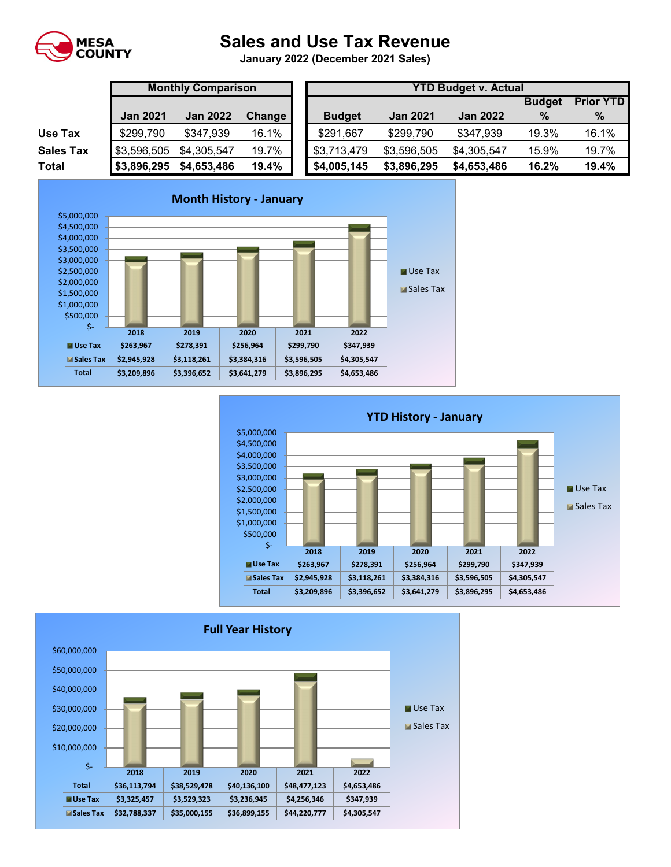

## **Sales and Use Tax Revenue**

**January 2022 (December 2021 Sales)** 

|                  | <b>Monthly Comparison</b> |                 |        |  | <b>YTD Budget v. Actual</b> |                 |                 |                  |       |  |  |  |
|------------------|---------------------------|-----------------|--------|--|-----------------------------|-----------------|-----------------|------------------|-------|--|--|--|
|                  |                           |                 |        |  |                             |                 | <b>Budget</b>   | <b>Prior YTD</b> |       |  |  |  |
|                  | <b>Jan 2021</b>           | <b>Jan 2022</b> | Change |  | <b>Budget</b>               | <b>Jan 2021</b> | <b>Jan 2022</b> | $\%$             | %     |  |  |  |
| Use Tax          | \$299,790                 | \$347,939       | 16.1%  |  | \$291,667                   | \$299,790       | \$347,939       | 19.3%            | 16.1% |  |  |  |
| <b>Sales Tax</b> | \$3,596,505               | \$4,305,547     | 19.7%  |  | \$3,713,479                 | \$3,596,505     | \$4,305,547     | 15.9%            | 19.7% |  |  |  |
| <b>Total</b>     | \$3,896,295               | \$4,653,486     | 19.4%  |  | \$4,005,145                 | \$3,896,295     | \$4,653,486     | 16.2%            | 19.4% |  |  |  |





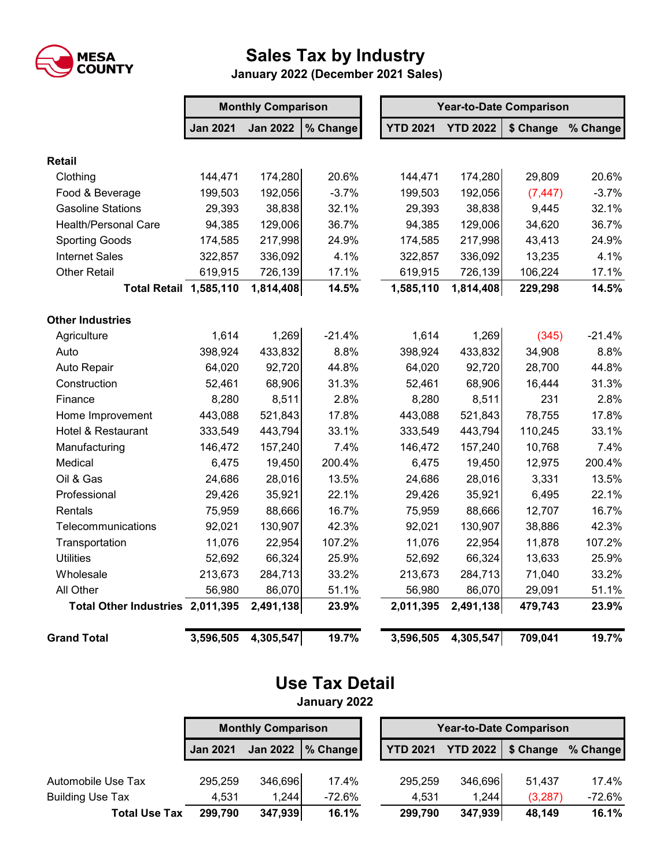

## **Sales Tax by Industry**

 **January 2022 (December 2021 Sales)**

|                                  | <b>Monthly Comparison</b> |                 |          |  | <b>Year-to-Date Comparison</b> |                 |           |          |  |  |
|----------------------------------|---------------------------|-----------------|----------|--|--------------------------------|-----------------|-----------|----------|--|--|
|                                  | <b>Jan 2021</b>           | <b>Jan 2022</b> | % Change |  | <b>YTD 2021</b>                | <b>YTD 2022</b> | \$ Change | % Change |  |  |
| <b>Retail</b>                    |                           |                 |          |  |                                |                 |           |          |  |  |
| Clothing                         | 144,471                   | 174,280         | 20.6%    |  | 144,471                        | 174,280         | 29,809    | 20.6%    |  |  |
| Food & Beverage                  | 199,503                   | 192,056         | $-3.7%$  |  | 199,503                        | 192,056         | (7, 447)  | $-3.7%$  |  |  |
| <b>Gasoline Stations</b>         | 29,393                    | 38,838          | 32.1%    |  | 29,393                         | 38,838          | 9,445     | 32.1%    |  |  |
| <b>Health/Personal Care</b>      | 94,385                    | 129,006         | 36.7%    |  | 94,385                         | 129,006         | 34,620    | 36.7%    |  |  |
| <b>Sporting Goods</b>            | 174,585                   | 217,998         | 24.9%    |  | 174,585                        | 217,998         | 43,413    | 24.9%    |  |  |
| <b>Internet Sales</b>            | 322,857                   | 336,092         | 4.1%     |  | 322,857                        | 336,092         | 13,235    | 4.1%     |  |  |
| <b>Other Retail</b>              | 619,915                   | 726,139         | 17.1%    |  |                                | 726,139         | 106,224   | 17.1%    |  |  |
| <b>Total Retail 1,585,110</b>    |                           | 1,814,408       | 14.5%    |  | 1,585,110                      | 1,814,408       | 229,298   | 14.5%    |  |  |
| <b>Other Industries</b>          |                           |                 |          |  |                                |                 |           |          |  |  |
| Agriculture                      | 1,614                     | 1,269           | $-21.4%$ |  | 1,614                          | 1,269           | (345)     | $-21.4%$ |  |  |
| Auto                             | 398,924                   | 433,832         | 8.8%     |  | 398,924                        | 433,832         | 34,908    | 8.8%     |  |  |
| Auto Repair                      | 64,020                    | 92,720          | 44.8%    |  | 64,020                         | 92,720          | 28,700    | 44.8%    |  |  |
| Construction                     | 52,461                    | 68,906          | 31.3%    |  | 52,461                         | 68,906          | 16,444    | 31.3%    |  |  |
| Finance                          | 8,280                     | 8,511           | 2.8%     |  | 8,280                          | 8,511           | 231       | 2.8%     |  |  |
| Home Improvement                 | 443,088                   | 521,843         | 17.8%    |  | 443,088                        | 521,843         | 78,755    | 17.8%    |  |  |
| Hotel & Restaurant               | 333,549                   | 443,794         | 33.1%    |  | 333,549                        | 443,794         | 110,245   | 33.1%    |  |  |
| Manufacturing                    | 146,472                   | 157,240         | 7.4%     |  | 146,472                        | 157,240         | 10,768    | 7.4%     |  |  |
| Medical                          | 6,475                     | 19,450          | 200.4%   |  | 6,475                          | 19,450          | 12,975    | 200.4%   |  |  |
| Oil & Gas                        | 24,686                    | 28,016          | 13.5%    |  | 24,686                         | 28,016          | 3,331     | 13.5%    |  |  |
| Professional                     | 29,426                    | 35,921          | 22.1%    |  | 29,426                         | 35,921          | 6,495     | 22.1%    |  |  |
| Rentals                          | 75,959                    | 88,666          | 16.7%    |  | 75,959                         | 88,666          | 12,707    | 16.7%    |  |  |
| Telecommunications               | 92,021                    | 130,907         | 42.3%    |  | 92,021                         | 130,907         | 38,886    | 42.3%    |  |  |
| Transportation                   | 11,076                    | 22,954          | 107.2%   |  | 11,076                         | 22,954          | 11,878    | 107.2%   |  |  |
| <b>Utilities</b>                 | 52,692                    | 66,324          | 25.9%    |  | 52,692                         | 66,324          | 13,633    | 25.9%    |  |  |
| Wholesale                        | 213,673                   | 284,713         | 33.2%    |  | 213,673                        | 284,713         | 71,040    | 33.2%    |  |  |
| All Other                        | 56,980                    | 86,070          | 51.1%    |  | 56,980                         | 86,070          | 29,091    | 51.1%    |  |  |
| Total Other Industries 2,011,395 |                           | 2,491,138       | 23.9%    |  | 2,011,395                      | 2,491,138       | 479,743   | 23.9%    |  |  |
| <b>Grand Total</b>               | 3,596,505                 | 4,305,547       | 19.7%    |  | 3,596,505                      | 4,305,547       | 709,041   | 19.7%    |  |  |

## **Use Tax Detail January 2022**

**Jan 2021 Jan 2022 % Change YTD 2021 YTD 2022 \$ Change % Change** Automobile Use Tax  $295,259$   $346,696$  17.4%  $295,259$   $346,696$  51,437 17.4% Building Use Tax 4,531 1,244 -72.6% 4,531 1,244 (3,287) -72.6% **Total Use Tax 299,790 347,939 16.1% 299,790 347,939 48,149 16.1% Monthly Comparison Year-to-Date Comparison**